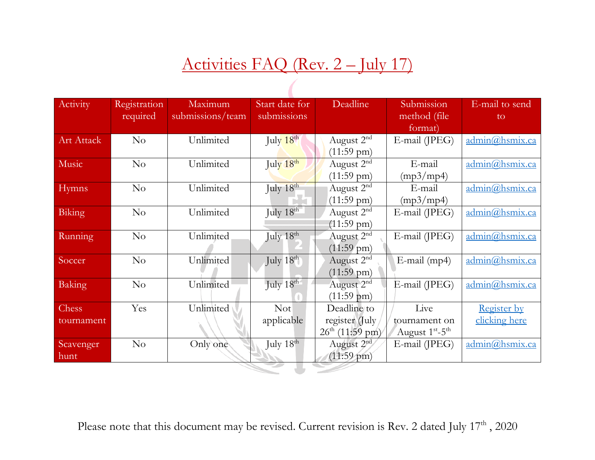# Activities FAQ (Rev. 2 – July 17)

| Activity     | Registration | Maximum          | Start date for        | Deadline                    | Submission         | E-mail to send                      |
|--------------|--------------|------------------|-----------------------|-----------------------------|--------------------|-------------------------------------|
|              | required     | submissions/team | submissions           |                             | method (file)      | to                                  |
|              |              |                  |                       |                             | format)            |                                     |
| Art Attack   | No           | Unlimited        | July $18th$           | August 2 <sup>nd</sup>      | E-mail (JPEG)      | $\alpha$ dmin $\omega$ hsmix.ca     |
|              |              |                  |                       | $(11:59 \text{ pm})$        |                    |                                     |
| Music        | No           | Unlimited        | July 18th             | August $2nd$                | E-mail             | admin@hsmix.ca                      |
|              |              |                  |                       | $(11:59 \text{ pm})$        | (mp3/mp4)          |                                     |
| <b>Hymns</b> | No           | Unlimited        | July 18th             | August 2 <sup>nd</sup>      | E-mail             | admin@hsmix.ca                      |
|              |              |                  |                       | $(11:59 \text{ pm})$        | (mp3/mp4)          |                                     |
| Biking       | $\rm No$     | Unlimited        | July 18th             | August 2 <sup>nd</sup>      | $E$ -mail (JPEG)   | admin@hsmix.ca                      |
|              |              |                  |                       | $(11:59 \text{ pm})$        |                    |                                     |
| Running      | No           | Unlimited        | July $18^{\text{th}}$ | August $2nd$                | E-mail (JPEG)      | admin@hsmix.ca                      |
|              |              |                  |                       | $(11:59 \text{ pm})$        |                    |                                     |
| Soccer       | No           | Unlimited        | July 18th             | August 2 <sup>nd</sup>      | $E$ -mail (mp4)    | admin@hsmix.ca                      |
|              |              |                  |                       | $(11:59 \text{ pm})$        |                    |                                     |
| Baking       | No           | Unlimited        | July 18th             | August 2 <sup>nd</sup>      | E-mail (JPEG)      | admin@hsmix.ca                      |
|              |              |                  |                       | $(11:59 \text{ pm})$        |                    |                                     |
| Chess        | Yes          | Unlimited        | <b>Not</b>            | Deadline to                 | Live               | <b>Register by</b>                  |
| tournament   |              |                  | applicable            | register (July              | tournament on      | clicking here                       |
|              |              |                  |                       | $26^{\text{th}}$ (11:59 pm) | August $1st - 5th$ |                                     |
| Scavenger    | No           | Only one         | July 18th             | August 2 <sup>nd</sup>      | E-mail (JPEG)      | $\frac{admin(a)hsmix.ca}{hsmix.ca}$ |
| hunt         |              |                  |                       | $(11:59 \text{ pm})$        |                    |                                     |
|              |              |                  |                       |                             |                    |                                     |

Please note that this document may be revised. Current revision is Rev. 2 dated July 17<sup>th</sup>, 2020